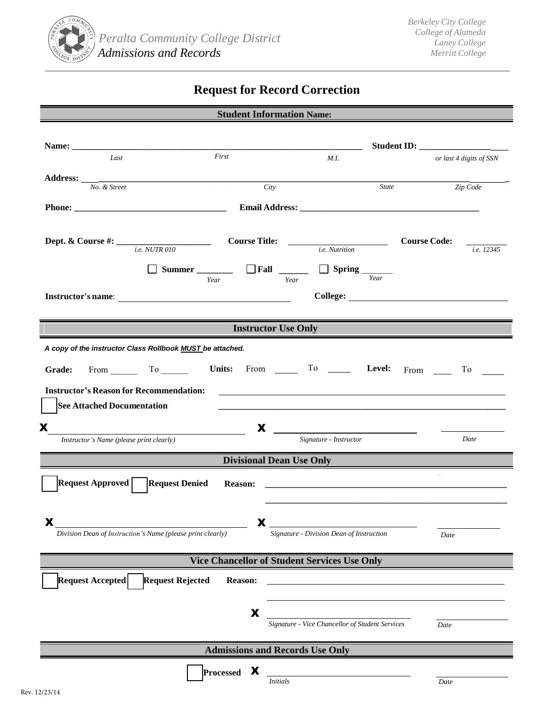

## **Request for Record Correction**

| <b>Student Information Name:</b>                           |                                                                                                                                                                                                                                                                                                                                                                                                                     |                                                                                  |
|------------------------------------------------------------|---------------------------------------------------------------------------------------------------------------------------------------------------------------------------------------------------------------------------------------------------------------------------------------------------------------------------------------------------------------------------------------------------------------------|----------------------------------------------------------------------------------|
|                                                            |                                                                                                                                                                                                                                                                                                                                                                                                                     |                                                                                  |
|                                                            |                                                                                                                                                                                                                                                                                                                                                                                                                     |                                                                                  |
| First<br>Last                                              | M.I.                                                                                                                                                                                                                                                                                                                                                                                                                | or last 4 digits of SSN                                                          |
|                                                            |                                                                                                                                                                                                                                                                                                                                                                                                                     |                                                                                  |
| Address: $\frac{N}{O}$ . & Street                          | State<br>City                                                                                                                                                                                                                                                                                                                                                                                                       | Zip Code                                                                         |
|                                                            |                                                                                                                                                                                                                                                                                                                                                                                                                     |                                                                                  |
|                                                            |                                                                                                                                                                                                                                                                                                                                                                                                                     |                                                                                  |
|                                                            |                                                                                                                                                                                                                                                                                                                                                                                                                     |                                                                                  |
|                                                            |                                                                                                                                                                                                                                                                                                                                                                                                                     | <b>Course Code:</b>                                                              |
| <b>Dept. &amp; Course #:</b> $\frac{e}{i.e. NUTR 010}$     | <i>i.e.</i> Nutrition                                                                                                                                                                                                                                                                                                                                                                                               | i.e. 12345                                                                       |
|                                                            |                                                                                                                                                                                                                                                                                                                                                                                                                     |                                                                                  |
| Year                                                       | $\Box$ Spring $\frac{\Box}{\Box$<br>Year                                                                                                                                                                                                                                                                                                                                                                            |                                                                                  |
|                                                            |                                                                                                                                                                                                                                                                                                                                                                                                                     |                                                                                  |
|                                                            |                                                                                                                                                                                                                                                                                                                                                                                                                     |                                                                                  |
|                                                            |                                                                                                                                                                                                                                                                                                                                                                                                                     |                                                                                  |
| <b>Instructor Use Only</b>                                 |                                                                                                                                                                                                                                                                                                                                                                                                                     |                                                                                  |
| A copy of the instructor Class Rollbook MUST be attached.  |                                                                                                                                                                                                                                                                                                                                                                                                                     |                                                                                  |
|                                                            |                                                                                                                                                                                                                                                                                                                                                                                                                     |                                                                                  |
| From $\qquad \qquad$ To $\qquad \qquad$<br>Grade:          | Units: From $\begin{array}{cccc} \text{I} & \text{I} & \text{I} & \text{I} & \text{I} & \text{I} & \text{I} & \text{I} & \text{I} & \text{I} & \text{I} & \text{I} & \text{I} & \text{I} & \text{I} & \text{I} & \text{I} & \text{I} & \text{I} & \text{I} & \text{I} & \text{I} & \text{I} & \text{I} & \text{I} & \text{I} & \text{I} & \text{I} & \text{I} & \text{I} & \text{I} & \text{I} & \text{I} & \text{$ | From $\qquad \qquad$<br>$\begin{array}{c} \n\text{To} \quad \boxed{\phantom{0}}$ |
| <b>Instructor's Reason for Recommendation:</b>             | <u>some started and the started and the started and the started and the started and the started and the started and the started and the started and the started and the started and the started and the started and the started </u>                                                                                                                                                                                |                                                                                  |
|                                                            |                                                                                                                                                                                                                                                                                                                                                                                                                     |                                                                                  |
| <b>See Attached Documentation</b>                          |                                                                                                                                                                                                                                                                                                                                                                                                                     |                                                                                  |
| X                                                          | X<br><u> 1980 - Jan Samuel Barbara, político establecera en la propia de la propia de la propia de la propia de la pro</u>                                                                                                                                                                                                                                                                                          |                                                                                  |
| Instructor's Name (please print clearly)                   | Signature - Instructor                                                                                                                                                                                                                                                                                                                                                                                              | Date                                                                             |
|                                                            |                                                                                                                                                                                                                                                                                                                                                                                                                     |                                                                                  |
|                                                            | <b>Divisional Dean Use Only</b>                                                                                                                                                                                                                                                                                                                                                                                     |                                                                                  |
| Request Approved   Request Denied                          |                                                                                                                                                                                                                                                                                                                                                                                                                     |                                                                                  |
|                                                            |                                                                                                                                                                                                                                                                                                                                                                                                                     |                                                                                  |
|                                                            |                                                                                                                                                                                                                                                                                                                                                                                                                     |                                                                                  |
| X                                                          | X                                                                                                                                                                                                                                                                                                                                                                                                                   |                                                                                  |
| Division Dean of Instruction's Name (please print clearly) | Signature - Division Dean of Instruction                                                                                                                                                                                                                                                                                                                                                                            | Date                                                                             |
|                                                            |                                                                                                                                                                                                                                                                                                                                                                                                                     |                                                                                  |
| <b>Vice Chancellor of Student Services Use Only</b>        |                                                                                                                                                                                                                                                                                                                                                                                                                     |                                                                                  |
|                                                            |                                                                                                                                                                                                                                                                                                                                                                                                                     |                                                                                  |
| <b>Request Rejected</b><br>Request Accepted<br>Reason:     |                                                                                                                                                                                                                                                                                                                                                                                                                     |                                                                                  |
|                                                            |                                                                                                                                                                                                                                                                                                                                                                                                                     |                                                                                  |
| X                                                          |                                                                                                                                                                                                                                                                                                                                                                                                                     |                                                                                  |
|                                                            | Signature - Vice Chancellor of Student Services                                                                                                                                                                                                                                                                                                                                                                     | Date                                                                             |
|                                                            |                                                                                                                                                                                                                                                                                                                                                                                                                     |                                                                                  |
| <b>Admissions and Records Use Only</b>                     |                                                                                                                                                                                                                                                                                                                                                                                                                     |                                                                                  |
| X                                                          |                                                                                                                                                                                                                                                                                                                                                                                                                     |                                                                                  |
| <b>Processed</b>                                           | <b>Initials</b>                                                                                                                                                                                                                                                                                                                                                                                                     | Date                                                                             |